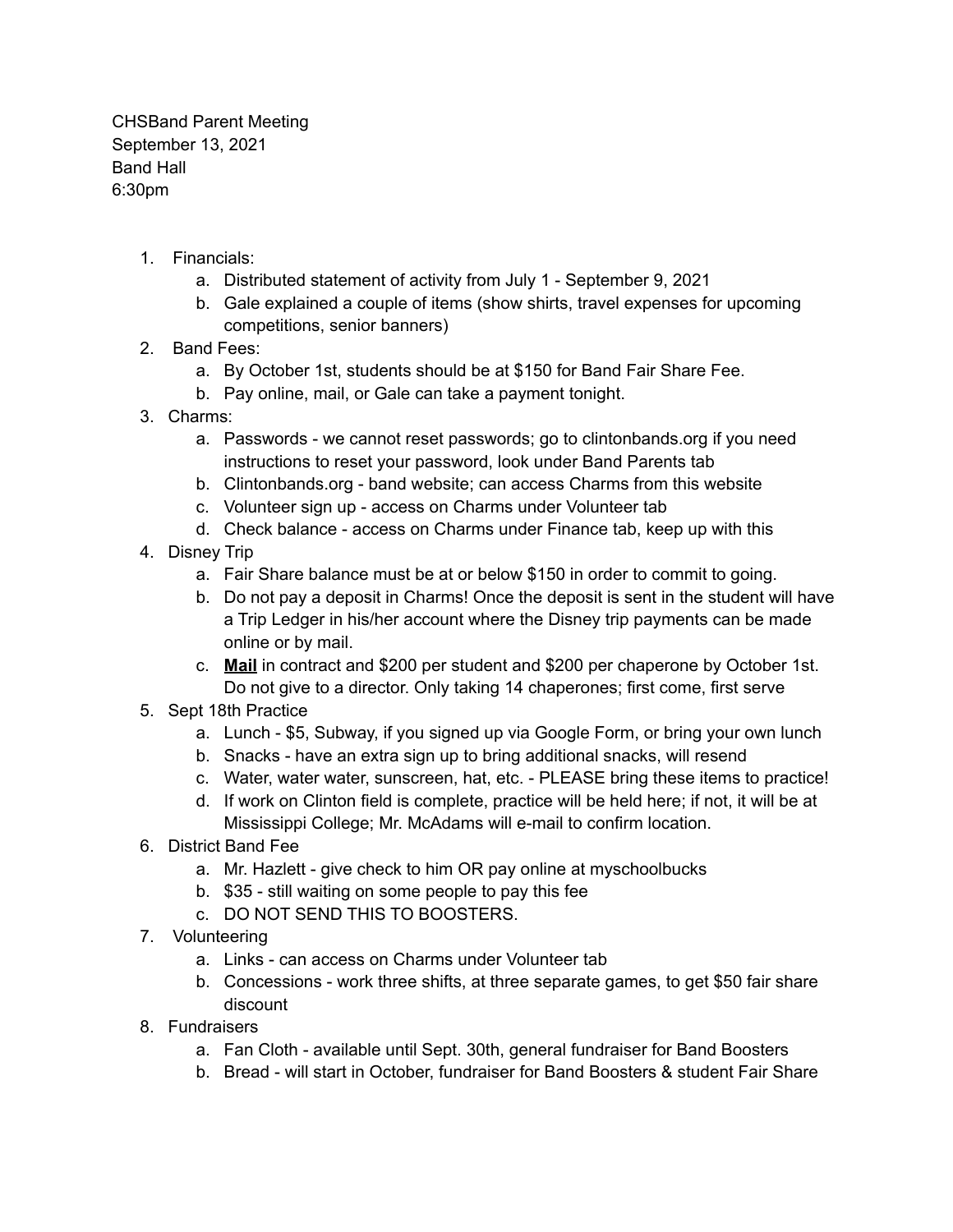CHSBand Parent Meeting September 13, 2021 Band Hall 6:30pm

- 1. Financials:
	- a. Distributed statement of activity from July 1 September 9, 2021
	- b. Gale explained a couple of items (show shirts, travel expenses for upcoming competitions, senior banners)
- 2. Band Fees:
	- a. By October 1st, students should be at \$150 for Band Fair Share Fee.
	- b. Pay online, mail, or Gale can take a payment tonight.
- 3. Charms:
	- a. Passwords we cannot reset passwords; go to clintonbands.org if you need instructions to reset your password, look under Band Parents tab
	- b. Clintonbands.org band website; can access Charms from this website
	- c. Volunteer sign up access on Charms under Volunteer tab
	- d. Check balance access on Charms under Finance tab, keep up with this
- 4. Disney Trip
	- a. Fair Share balance must be at or below \$150 in order to commit to going.
	- b. Do not pay a deposit in Charms! Once the deposit is sent in the student will have a Trip Ledger in his/her account where the Disney trip payments can be made online or by mail.
	- c. **Mail** in contract and \$200 per student and \$200 per chaperone by October 1st. Do not give to a director. Only taking 14 chaperones; first come, first serve
- 5. Sept 18th Practice
	- a. Lunch \$5, Subway, if you signed up via Google Form, or bring your own lunch
	- b. Snacks have an extra sign up to bring additional snacks, will resend
	- c. Water, water water, sunscreen, hat, etc. PLEASE bring these items to practice!
	- d. If work on Clinton field is complete, practice will be held here; if not, it will be at Mississippi College; Mr. McAdams will e-mail to confirm location.
- 6. District Band Fee
	- a. Mr. Hazlett give check to him OR pay online at myschoolbucks
	- b. \$35 still waiting on some people to pay this fee
	- c. DO NOT SEND THIS TO BOOSTERS.
- 7. Volunteering
	- a. Links can access on Charms under Volunteer tab
	- b. Concessions work three shifts, at three separate games, to get \$50 fair share discount
- 8. Fundraisers
	- a. Fan Cloth available until Sept. 30th, general fundraiser for Band Boosters
	- b. Bread will start in October, fundraiser for Band Boosters & student Fair Share